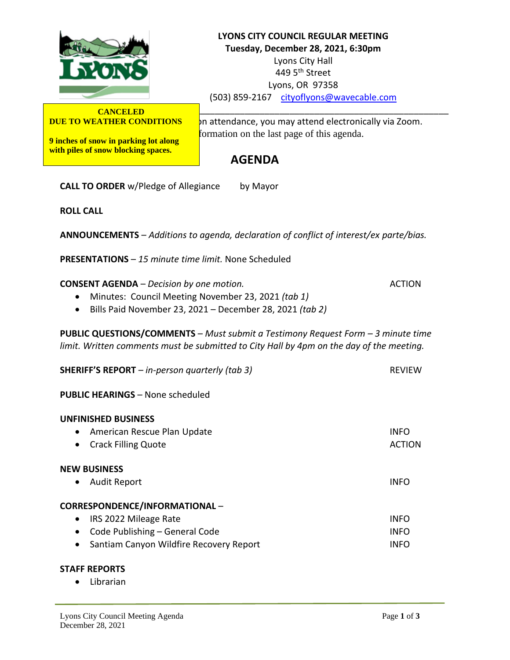

**CANCELED DUE TO WEATHER CONDITIONS**

**9 inches of snow in parking lot along with piles of snow blocking spaces.**

**LYONS CITY COUNCIL REGULAR MEETING Tuesday, December 28, 2021, 6:30pm** Lyons City Hall 449 5<sup>th</sup> Street Lyons, OR 97358 (503) 859-2167 [cityoflyons@wavecable.com](mailto:cityoflyons@wavecable.com)

on attendance, you may attend electronically via Zoom. formation on the last page of this agenda.

# **AGENDA**

**CALL TO ORDER** w/Pledge of Allegiance by Mayor

**ROLL CALL**

**ANNOUNCEMENTS** – *Additions to agenda, declaration of conflict of interest/ex parte/bias.*

**PRESENTATIONS** – *15 minute time limit.* None Scheduled

**CONSENT AGENDA** – *Decision by one motion.* ACTION

- Minutes: Council Meeting November 23, 2021 *(tab 1)*
- Bills Paid November 23, 2021 December 28, 2021 *(tab 2)*

**PUBLIC QUESTIONS/COMMENTS** – *Must submit a Testimony Request Form – 3 minute time limit. Written comments must be submitted to City Hall by 4pm on the day of the meeting.*

| <b>SHERIFF'S REPORT</b> $-$ in-person quarterly (tab 3)                                                                                  | <b>REVIEW</b>                |
|------------------------------------------------------------------------------------------------------------------------------------------|------------------------------|
| <b>PUBLIC HEARINGS - None scheduled</b>                                                                                                  |                              |
| <b>UNFINISHED BUSINESS</b><br>American Rescue Plan Update<br>$\bullet$<br><b>Crack Filling Quote</b><br>$\bullet$<br><b>NEW BUSINESS</b> | <b>INFO</b><br><b>ACTION</b> |
| <b>Audit Report</b><br>$\bullet$                                                                                                         | <b>INFO</b>                  |
| CORRESPONDENCE/INFORMATIONAL-                                                                                                            |                              |
| IRS 2022 Mileage Rate<br>$\bullet$                                                                                                       | <b>INFO</b>                  |
| Code Publishing - General Code                                                                                                           | <b>INFO</b>                  |
| Santiam Canyon Wildfire Recovery Report<br>$\bullet$                                                                                     | <b>INFO</b>                  |

#### **STAFF REPORTS**

• Librarian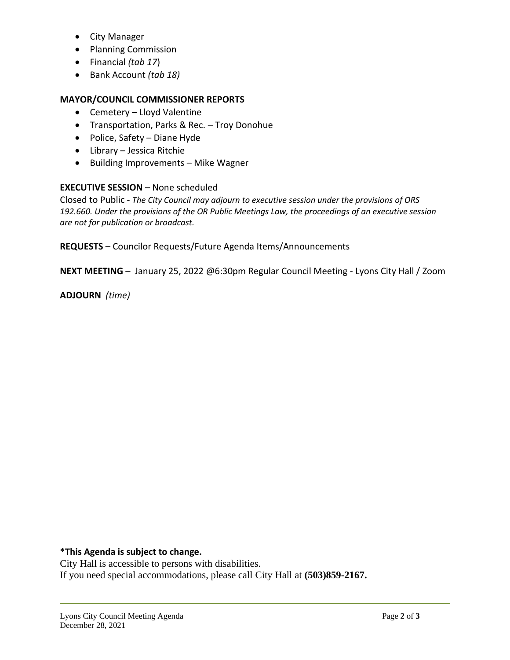- City Manager
- Planning Commission
- Financial *(tab 17*)
- Bank Account *(tab 18)*

#### **MAYOR/COUNCIL COMMISSIONER REPORTS**

- Cemetery Lloyd Valentine
- Transportation, Parks & Rec. Troy Donohue
- Police, Safety Diane Hyde
- Library Jessica Ritchie
- Building Improvements Mike Wagner

#### **EXECUTIVE SESSION** – None scheduled

Closed to Public - *The City Council may adjourn to executive session under the provisions of ORS 192.660. Under the provisions of the OR Public Meetings Law, the proceedings of an executive session are not for publication or broadcast.*

**REQUESTS** – Councilor Requests/Future Agenda Items/Announcements

**NEXT MEETING** – January 25, 2022 @6:30pm Regular Council Meeting - Lyons City Hall / Zoom

**ADJOURN** *(time)*

## **\*This Agenda is subject to change.**

City Hall is accessible to persons with disabilities. If you need special accommodations, please call City Hall at **(503)859-2167.**